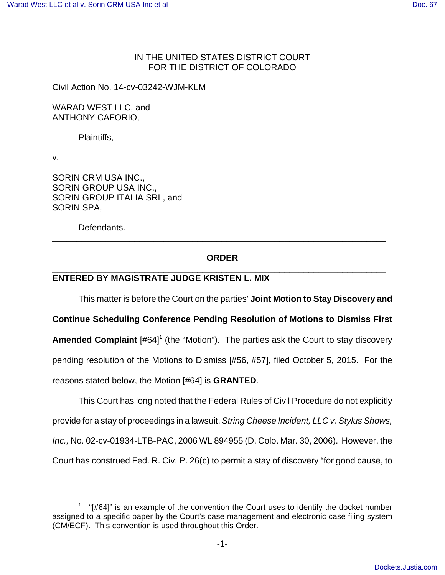## IN THE UNITED STATES DISTRICT COURT FOR THE DISTRICT OF COLORADO

Civil Action No. 14-cv-03242-WJM-KLM

WARAD WEST LLC, and ANTHONY CAFORIO,

Plaintiffs,

v.

SORIN CRM USA INC., SORIN GROUP USA INC., SORIN GROUP ITALIA SRL, and SORIN SPA,

Defendants.

# **ORDER** \_\_\_\_\_\_\_\_\_\_\_\_\_\_\_\_\_\_\_\_\_\_\_\_\_\_\_\_\_\_\_\_\_\_\_\_\_\_\_\_\_\_\_\_\_\_\_\_\_\_\_\_\_\_\_\_\_\_\_\_\_\_\_\_\_\_\_\_\_

\_\_\_\_\_\_\_\_\_\_\_\_\_\_\_\_\_\_\_\_\_\_\_\_\_\_\_\_\_\_\_\_\_\_\_\_\_\_\_\_\_\_\_\_\_\_\_\_\_\_\_\_\_\_\_\_\_\_\_\_\_\_\_\_\_\_\_\_\_

# **ENTERED BY MAGISTRATE JUDGE KRISTEN L. MIX**

This matter is before the Court on the parties' **Joint Motion to Stay Discovery and**

**Continue Scheduling Conference Pending Resolution of Motions to Dismiss First** Amended Complaint [#64]<sup>1</sup> (the "Motion"). The parties ask the Court to stay discovery pending resolution of the Motions to Dismiss [#56, #57], filed October 5, 2015. For the reasons stated below, the Motion [#64] is **GRANTED**.

This Court has long noted that the Federal Rules of Civil Procedure do not explicitly provide for a stay of proceedings in a lawsuit. String Cheese Incident, LLC v. Stylus Shows, Inc., No. 02-cv-01934-LTB-PAC, 2006 WL 894955 (D. Colo. Mar. 30, 2006). However, the Court has construed Fed. R. Civ. P. 26(c) to permit a stay of discovery "for good cause, to

 $1$  "[#64]" is an example of the convention the Court uses to identify the docket number assigned to a specific paper by the Court's case management and electronic case filing system (CM/ECF). This convention is used throughout this Order.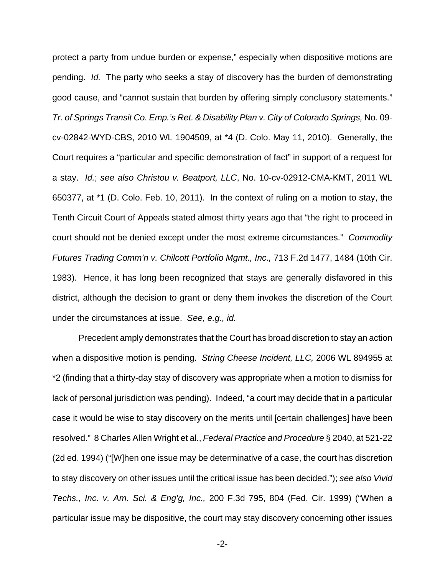protect a party from undue burden or expense," especially when dispositive motions are pending. Id. The party who seeks a stay of discovery has the burden of demonstrating good cause, and "cannot sustain that burden by offering simply conclusory statements." Tr. of Springs Transit Co. Emp.'s Ret. & Disability Plan v. City of Colorado Springs, No. 09 cv-02842-WYD-CBS, 2010 WL 1904509, at \*4 (D. Colo. May 11, 2010). Generally, the Court requires a "particular and specific demonstration of fact" in support of a request for a stay. Id.; see also Christou v. Beatport, LLC, No. 10-cv-02912-CMA-KMT, 2011 WL 650377, at \*1 (D. Colo. Feb. 10, 2011). In the context of ruling on a motion to stay, the Tenth Circuit Court of Appeals stated almost thirty years ago that "the right to proceed in court should not be denied except under the most extreme circumstances." Commodity Futures Trading Comm'n v. Chilcott Portfolio Mgmt., Inc., 713 F.2d 1477, 1484 (10th Cir. 1983). Hence, it has long been recognized that stays are generally disfavored in this district, although the decision to grant or deny them invokes the discretion of the Court under the circumstances at issue. See, e.g., id.

Precedent amply demonstrates that the Court has broad discretion to stay an action when a dispositive motion is pending. String Cheese Incident, LLC, 2006 WL 894955 at \*2 (finding that a thirty-day stay of discovery was appropriate when a motion to dismiss for lack of personal jurisdiction was pending). Indeed, "a court may decide that in a particular case it would be wise to stay discovery on the merits until [certain challenges] have been resolved." 8 Charles Allen Wright et al., Federal Practice and Procedure § 2040, at 521-22 (2d ed. 1994) ("[W]hen one issue may be determinative of a case, the court has discretion to stay discovery on other issues until the critical issue has been decided."); see also Vivid Techs., Inc. v. Am. Sci. & Eng'g, Inc., 200 F.3d 795, 804 (Fed. Cir. 1999) ("When a particular issue may be dispositive, the court may stay discovery concerning other issues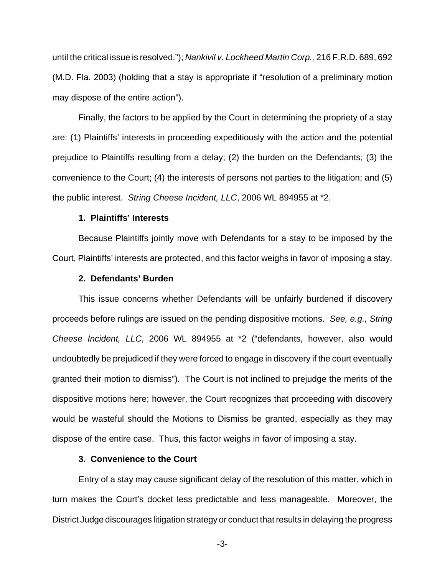until the critical issue is resolved."); Nankivil v. Lockheed Martin Corp., 216 F.R.D. 689, 692 (M.D. Fla. 2003) (holding that a stay is appropriate if "resolution of a preliminary motion may dispose of the entire action").

Finally, the factors to be applied by the Court in determining the propriety of a stay are: (1) Plaintiffs' interests in proceeding expeditiously with the action and the potential prejudice to Plaintiffs resulting from a delay; (2) the burden on the Defendants; (3) the convenience to the Court; (4) the interests of persons not parties to the litigation; and (5) the public interest. String Cheese Incident, LLC, 2006 WL 894955 at \*2.

### **1. Plaintiffs' Interests**

Because Plaintiffs jointly move with Defendants for a stay to be imposed by the Court, Plaintiffs' interests are protected, and this factor weighs in favor of imposing a stay.

#### **2. Defendants' Burden**

This issue concerns whether Defendants will be unfairly burdened if discovery proceeds before rulings are issued on the pending dispositive motions. See, e.g., String Cheese Incident, LLC, 2006 WL 894955 at \*2 ("defendants, however, also would undoubtedly be prejudiced if they were forced to engage in discovery if the court eventually granted their motion to dismiss"). The Court is not inclined to prejudge the merits of the dispositive motions here; however, the Court recognizes that proceeding with discovery would be wasteful should the Motions to Dismiss be granted, especially as they may dispose of the entire case. Thus, this factor weighs in favor of imposing a stay.

## **3. Convenience to the Court**

Entry of a stay may cause significant delay of the resolution of this matter, which in turn makes the Court's docket less predictable and less manageable. Moreover, the District Judge discourages litigation strategy or conduct that results in delaying the progress

-3-